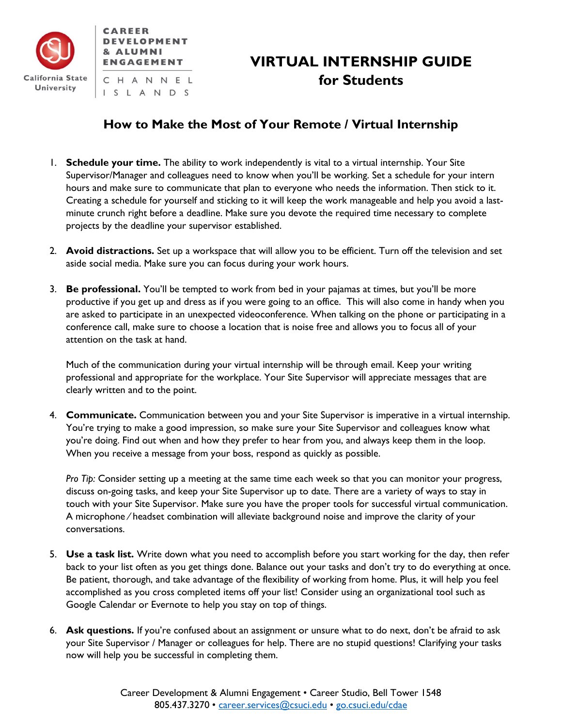

# **VIRTUAL INTERNSHIP GUIDE for Students**

## **How to Make the Most of Your Remote / Virtual Internship**

- 1. **Schedule your time.** The ability to work independently is vital to a virtual internship. Your Site Supervisor/Manager and colleagues need to know when you'll be working. Set a schedule for your intern hours and make sure to communicate that plan to everyone who needs the information. Then stick to it. Creating a schedule for yourself and sticking to it will keep the work manageable and help you avoid a lastminute crunch right before a deadline. Make sure you devote the required time necessary to complete projects by the deadline your supervisor established.
- 2. **Avoid distractions.** Set up a workspace that will allow you to be efficient. Turn off the television and set aside social media. Make sure you can focus during your work hours.
- 3. **Be professional.** You'll be tempted to work from bed in your pajamas at times, but you'll be more productive if you get up and dress as if you were going to an office. This will also come in handy when you are asked to participate in an unexpected videoconference. When talking on the phone or participating in a conference call, make sure to choose a location that is noise free and allows you to focus all of your attention on the task at hand.

Much of the communication during your virtual internship will be through email. Keep your writing professional and appropriate for the workplace. Your Site Supervisor will appreciate messages that are clearly written and to the point.

4. **Communicate.** Communication between you and your Site Supervisor is imperative in a virtual internship. You're trying to make a good impression, so make sure your Site Supervisor and colleagues know what you're doing. Find out when and how they prefer to hear from you, and always keep them in the loop. When you receive a message from your boss, respond as quickly as possible.

*Pro Tip:* Consider setting up a meeting at the same time each week so that you can monitor your progress, discuss on-going tasks, and keep your Site Supervisor up to date. There are a variety of ways to stay in touch with your Site Supervisor. Make sure you have the proper tools for successful virtual communication. A microphone ⁄ headset combination will alleviate background noise and improve the clarity of your conversations.

- 5. **Use a task list.** Write down what you need to accomplish before you start working for the day, then refer back to your list often as you get things done. Balance out your tasks and don't try to do everything at once. Be patient, thorough, and take advantage of the flexibility of working from home. Plus, it will help you feel accomplished as you cross completed items off your list! Consider using an organizational tool such as Google Calendar or Evernote to help you stay on top of things.
- 6. **Ask questions.** If you're confused about an assignment or unsure what to do next, don't be afraid to ask your Site Supervisor / Manager or colleagues for help. There are no stupid questions! Clarifying your tasks now will help you be successful in completing them.